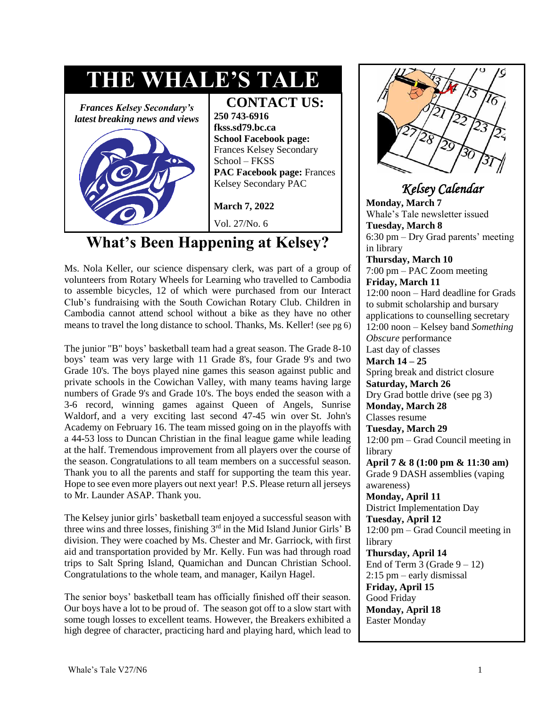

# **What's Been Happening at Kelsey?**

Ms. Nola Keller, our science dispensary clerk, was part of a group of volunteers from Rotary Wheels for Learning who travelled to Cambodia to assemble bicycles, 12 of which were purchased from our Interact Club's fundraising with the South Cowichan Rotary Club. Children in Cambodia cannot attend school without a bike as they have no other means to travel the long distance to school. Thanks, Ms. Keller! (see pg 6)

The junior "B" boys' basketball team had a great season. The Grade 8-10 boys' team was very large with 11 Grade 8's, four Grade 9's and two Grade 10's. The boys played nine games this season against public and private schools in the Cowichan Valley, with many teams having large numbers of Grade 9's and Grade 10's. The boys ended the season with a 3-6 record, winning games against Queen of Angels, Sunrise Waldorf, and a very exciting last second 47-45 win over St. John's Academy on February 16. The team missed going on in the playoffs with a 44-53 loss to Duncan Christian in the final league game while leading at the half. Tremendous improvement from all players over the course of the season. Congratulations to all team members on a successful season. Thank you to all the parents and staff for supporting the team this year. Hope to see even more players out next year! P.S. Please return all jerseys to Mr. Launder ASAP. Thank you.

The Kelsey junior girls' basketball team enjoyed a successful season with three wins and three losses, finishing 3<sup>rd</sup> in the Mid Island Junior Girls' B division. They were coached by Ms. Chester and Mr. Garriock, with first aid and transportation provided by Mr. Kelly. Fun was had through road trips to Salt Spring Island, Quamichan and Duncan Christian School. Congratulations to the whole team, and manager, Kailyn Hagel.

The senior boys' basketball team has officially finished off their season. Our boys have a lot to be proud of. The season got off to a slow start with some tough losses to excellent teams. However, the Breakers exhibited a high degree of character, practicing hard and playing hard, which lead to



### *Kelsey Calendar*

**Monday, March 7**  Whale's Tale newsletter issued **Tuesday, March 8**  6:30 pm – Dry Grad parents' meeting in library **Thursday, March 10**  7:00 pm – PAC Zoom meeting **Friday, March 11**  12:00 noon – Hard deadline for Grads to submit scholarship and bursary applications to counselling secretary 12:00 noon – Kelsey band *Something Obscure* performance Last day of classes **March 14 – 25**  Spring break and district closure **Saturday, March 26**  Dry Grad bottle drive (see pg 3) **Monday, March 28**  Classes resume **Tuesday, March 29** 12:00 pm – Grad Council meeting in library **April 7 & 8 (1:00 pm & 11:30 am)** Grade 9 DASH assemblies (vaping awareness) **Monday, April 11**  District Implementation Day **Tuesday, April 12**  12:00 pm – Grad Council meeting in library **Thursday, April 14**  End of Term 3 (Grade  $9 - 12$ ) 2:15 pm – early dismissal **Friday, April 15**  Good Friday **Monday, April 18**  Easter Monday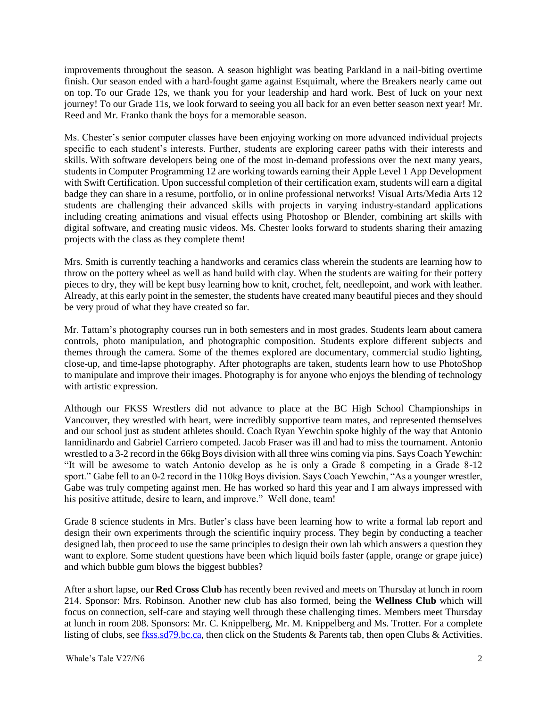improvements throughout the season. A season highlight was beating Parkland in a nail-biting overtime finish. Our season ended with a hard-fought game against Esquimalt, where the Breakers nearly came out on top. To our Grade 12s, we thank you for your leadership and hard work. Best of luck on your next journey! To our Grade 11s, we look forward to seeing you all back for an even better season next year! Mr. Reed and Mr. Franko thank the boys for a memorable season.

Ms. Chester's senior computer classes have been enjoying working on more advanced individual projects specific to each student's interests. Further, students are exploring career paths with their interests and skills. With software developers being one of the most in-demand professions over the next many years, students in Computer Programming 12 are working towards earning their Apple Level 1 App Development with Swift Certification. Upon successful completion of their certification exam, students will earn a digital badge they can share in a resume, portfolio, or in online professional networks! Visual Arts/Media Arts 12 students are challenging their advanced skills with projects in varying industry-standard applications including creating animations and visual effects using Photoshop or Blender, combining art skills with digital software, and creating music videos. Ms. Chester looks forward to students sharing their amazing projects with the class as they complete them!

Mrs. Smith is currently teaching a handworks and ceramics class wherein the students are learning how to throw on the pottery wheel as well as hand build with clay. When the students are waiting for their pottery pieces to dry, they will be kept busy learning how to knit, crochet, felt, needlepoint, and work with leather. Already, at this early point in the semester, the students have created many beautiful pieces and they should be very proud of what they have created so far.

Mr. Tattam's photography courses run in both semesters and in most grades. Students learn about camera controls, photo manipulation, and photographic composition. Students explore different subjects and themes through the camera. Some of the themes explored are documentary, commercial studio lighting, close-up, and time-lapse photography. After photographs are taken, students learn how to use PhotoShop to manipulate and improve their images. Photography is for anyone who enjoys the blending of technology with artistic expression.

Although our FKSS Wrestlers did not advance to place at the BC High School Championships in Vancouver, they wrestled with heart, were incredibly supportive team mates, and represented themselves and our school just as student athletes should. Coach Ryan Yewchin spoke highly of the way that Antonio Iannidinardo and Gabriel Carriero competed. Jacob Fraser was ill and had to miss the tournament. Antonio wrestled to a 3-2 record in the 66kg Boys division with all three wins coming via pins. Says Coach Yewchin: "It will be awesome to watch Antonio develop as he is only a Grade 8 competing in a Grade 8-12 sport." Gabe fell to an 0-2 record in the 110kg Boys division. Says Coach Yewchin, "As a younger wrestler, Gabe was truly competing against men. He has worked so hard this year and I am always impressed with his positive attitude, desire to learn, and improve." Well done, team!

Grade 8 science students in Mrs. Butler's class have been learning how to write a formal lab report and design their own experiments through the scientific inquiry process. They begin by conducting a teacher designed lab, then proceed to use the same principles to design their own lab which answers a question they want to explore. Some student questions have been which liquid boils faster (apple, orange or grape juice) and which bubble gum blows the biggest bubbles?

After a short lapse, our **Red Cross Club** has recently been revived and meets on Thursday at lunch in room 214. Sponsor: Mrs. Robinson. Another new club has also formed, being the **Wellness Club** which will focus on connection, self-care and staying well through these challenging times. Members meet Thursday at lunch in room 208. Sponsors: Mr. C. Knippelberg, Mr. M. Knippelberg and Ms. Trotter. For a complete listing of clubs, see [fkss.sd79.bc.ca,](file:///C:/Users/Nancy%20Bonner/Documents/WTale/fkss.sd79.bc.ca) then click on the Students & Parents tab, then open Clubs & Activities.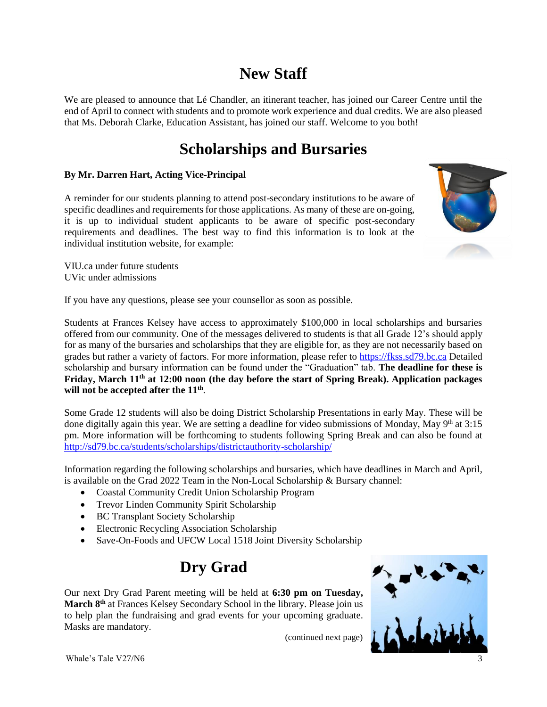# **New Staff**

We are pleased to announce that Lé Chandler, an itinerant teacher, has joined our Career Centre until the end of April to connect with students and to promote work experience and dual credits. We are also pleased that Ms. Deborah Clarke, Education Assistant, has joined our staff. Welcome to you both!

# **Scholarships and Bursaries**

#### **By Mr. Darren Hart, Acting Vice-Principal**

A reminder for our students planning to attend post-secondary institutions to be aware of specific deadlines and requirements for those applications. As many of these are on-going, it is up to individual student applicants to be aware of specific post-secondary requirements and deadlines. The best way to find this information is to look at the individual institution website, for example:

VIU.ca under future students UVic under admissions

If you have any questions, please see your counsellor as soon as possible.

Students at Frances Kelsey have access to approximately \$100,000 in local scholarships and bursaries offered from our community. One of the messages delivered to students is that all Grade 12's should apply for as many of the bursaries and scholarships that they are eligible for, as they are not necessarily based on grades but rather a variety of factors. For more information, please refer to [https://fkss.sd79.bc.ca](https://fkss.sd79.bc.ca/) Detailed scholarship and bursary information can be found under the "Graduation" tab. **The deadline for these is**  Friday, March 11<sup>th</sup> at 12:00 noon (the day before the start of Spring Break). Application packages will not be accepted after the  $11<sup>th</sup>$ .

Some Grade 12 students will also be doing District Scholarship Presentations in early May. These will be done digitally again this year. We are setting a deadline for video submissions of Monday, May 9<sup>th</sup> at 3:15 pm. More information will be forthcoming to students following Spring Break and can also be found at <http://sd79.bc.ca/students/scholarships/districtauthority-scholarship/>

Information regarding the following scholarships and bursaries, which have deadlines in March and April, is available on the Grad 2022 Team in the Non-Local Scholarship & Bursary channel:

- Coastal Community Credit Union Scholarship Program
- Trevor Linden Community Spirit Scholarship
- BC Transplant Society Scholarship
- Electronic Recycling Association Scholarship
- Save-On-Foods and UFCW Local 1518 Joint Diversity Scholarship

## **Dry Grad**

Our next Dry Grad Parent meeting will be held at **6:30 pm on Tuesday, March 8th** at Frances Kelsey Secondary School in the library. Please join us to help plan the fundraising and grad events for your upcoming graduate. Masks are mandatory.



(continued next page)

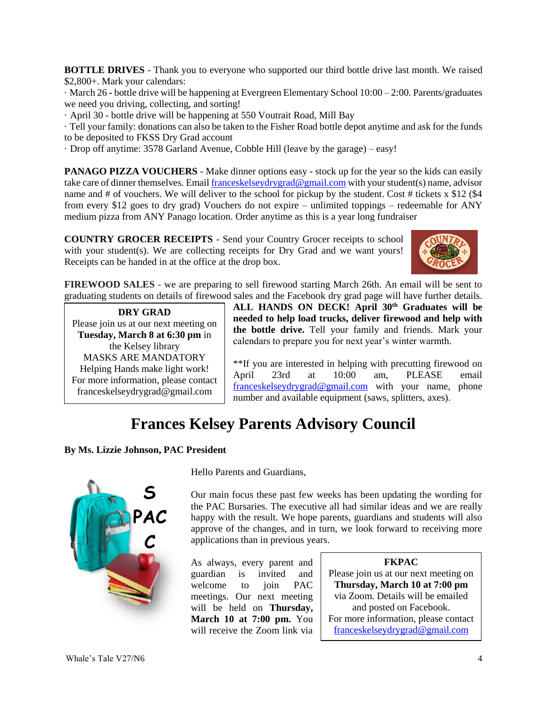**BOTTLE DRIVES** - Thank you to everyone who supported our third bottle drive last month. We raised \$2,800+. Mark your calendars:

· March 26 **-** bottle drive will be happening at Evergreen Elementary School 10:00 – 2:00. Parents/graduates we need you driving, collecting, and sorting!

· April 30 - bottle drive will be happening at 550 Voutrait Road, Mill Bay

· Tell your family: donations can also be taken to the Fisher Road bottle depot anytime and ask for the funds to be deposited to FKSS Dry Grad account

· Drop off anytime: 3578 Garland Avenue, Cobble Hill (leave by the garage) – easy!

**PANAGO PIZZA VOUCHERS** - Make dinner options easy - stock up for the year so the kids can easily take care of dinner themselves. Emai[l franceskelseydrygrad@gmail.com](mailto:franceskelseydrygrad@gmail.com) with your student(s) name, advisor name and # of vouchers. We will deliver to the school for pickup by the student. Cost # tickets  $x$  \$12 (\$4) from every \$12 goes to dry grad) Vouchers do not expire – unlimited toppings – redeemable for ANY medium pizza from ANY Panago location. Order anytime as this is a year long fundraiser

**COUNTRY GROCER RECEIPTS** - Send your Country Grocer receipts to school with your student(s). We are collecting receipts for Dry Grad and we want yours! Receipts can be handed in at the office at the drop box.



**FIREWOOD SALES** - we are preparing to sell firewood starting March 26th. An email will be sent to graduating students on details of firewood sales and the Facebook [dry grad page](https://www.facebook.com/search/top?q=fkss%20dry%20grad%202022) will have further details.

**DRY GRAD** Please join us at our next meeting on **Tuesday, March 8 at 6:30 pm** in the Kelsey library MASKS ARE MANDATORY Helping Hands make light work! For more information, please contact [franceskelseydrygrad@gmail.com](mailto:franceskelseydrygrad@gmail.com)

**ALL HANDS ON DECK! April 30th Graduates will be needed to help load trucks, deliver firewood and help with the bottle drive.** Tell your family and friends. Mark your calendars to prepare you for next year's winter warmth.

\*\*If you are interested in helping with precutting firewood on April 23rd at 10:00 am, PLEASE email [franceskelseydrygrad@gmail.com](mailto:franceskelseydrygrad@gmail.com) with your name, phone number and available equipment (saws, splitters, axes).

## **Frances Kelsey Parents Advisory Council**

#### **By Ms. Lizzie Johnson, PAC President**



Hello Parents and Guardians,

Our main focus these past few weeks has been updating the wording for the PAC Bursaries. The executive all had similar ideas and we are really happy with the result. We hope parents, guardians and students will also approve of the changes, and in turn, we look forward to receiving more applications than in previous years.

As always, every parent and guardian is invited and welcome to join PAC meetings. Our next meeting will be held on **Thursday, March 10 at 7:00 pm.** You will receive the Zoom link via

#### **FKPAC**

Please join us at our next meeting on **Thursday, March 10 at 7:00 pm** via Zoom. Details will be emailed and posted on Facebook. For more information, please contact [franceskelseydrygrad@gmail.com](mailto:franceskelseydrygrad@gmail.com)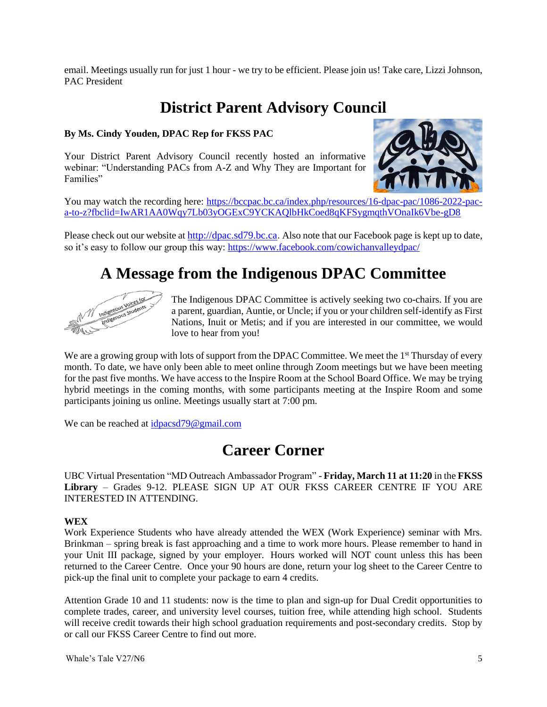email. Meetings usually run for just 1 hour - we try to be efficient. Please join us! Take care, Lizzi Johnson, PAC President

## **District Parent Advisory Council**

#### **By Ms. Cindy Youden, DPAC Rep for FKSS PAC**

Your District Parent Advisory Council recently hosted an informative webinar: "Understanding PACs from A-Z and Why They are Important for Families"



You may watch the recording here: [https://bccpac.bc.ca/index.php/resources/16-dpac-pac/1086-2022-pac](https://bccpac.bc.ca/index.php/resources/16-dpac-pac/1086-2022-pac-a-to-z?fbclid=IwAR1AA0Wqy7Lb03yOGExC9YCKAQlbHkCoed8qKFSygmqthVOnaIk6Vbe-gD8)[a-to-z?fbclid=IwAR1AA0Wqy7Lb03yOGExC9YCKAQlbHkCoed8qKFSygmqthVOnaIk6Vbe-gD8](https://bccpac.bc.ca/index.php/resources/16-dpac-pac/1086-2022-pac-a-to-z?fbclid=IwAR1AA0Wqy7Lb03yOGExC9YCKAQlbHkCoed8qKFSygmqthVOnaIk6Vbe-gD8)

Please check out our website at [http://dpac.sd79.bc.ca](http://dpac.sd79.bc.ca/). Also note that our Facebook page is kept up to date, so it's easy to follow our group this way:<https://www.facebook.com/cowichanvalleydpac/>

### **A Message from the Indigenous DPAC Committee**



The Indigenous DPAC Committee is actively seeking two co-chairs. If you are a parent, guardian, Auntie, or Uncle; if you or your children self-identify as First Nations, Inuit or Metis; and if you are interested in our committee, we would love to hear from you!

We are a growing group with lots of support from the DPAC Committee. We meet the 1<sup>st</sup> Thursday of every month. To date, we have only been able to meet online through Zoom meetings but we have been meeting for the past five months. We have access to the Inspire Room at the School Board Office. We may be trying hybrid meetings in the coming months, with some participants meeting at the Inspire Room and some participants joining us online. Meetings usually start at 7:00 pm.

We can be reached at [idpacsd79@gmail.com](mailto:idpacsd79@gmail.com)

### **Career Corner**

UBC Virtual Presentation "MD Outreach Ambassador Program" - **Friday, March 11 at 11:20** in the **FKSS Library** – Grades 9-12. PLEASE SIGN UP AT OUR FKSS CAREER CENTRE IF YOU ARE INTERESTED IN ATTENDING.

#### **WEX**

Work Experience Students who have already attended the WEX (Work Experience) seminar with Mrs. Brinkman – spring break is fast approaching and a time to work more hours. Please remember to hand in your Unit III package, signed by your employer. Hours worked will NOT count unless this has been returned to the Career Centre. Once your 90 hours are done, return your log sheet to the Career Centre to pick-up the final unit to complete your package to earn 4 credits.

Attention Grade 10 and 11 students: now is the time to plan and sign-up for Dual Credit opportunities to complete trades, career, and university level courses, tuition free, while attending high school. Students will receive credit towards their high school graduation requirements and post-secondary credits. Stop by or call our FKSS Career Centre to find out more.